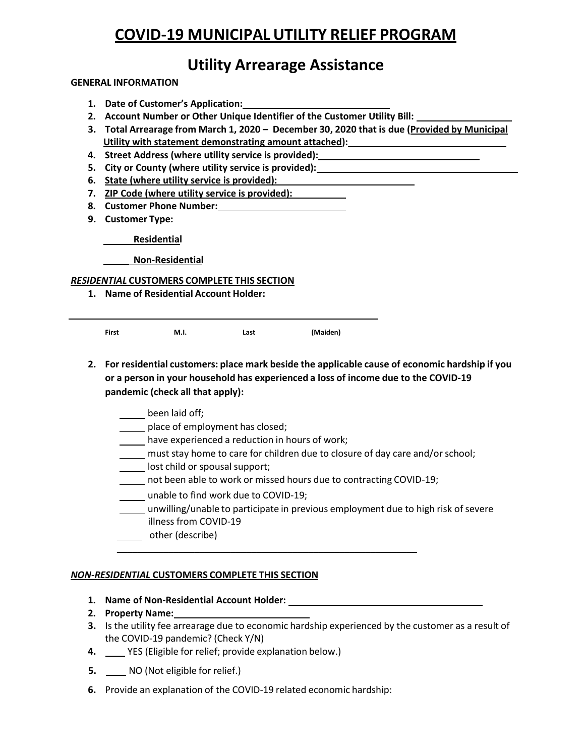# **COVID-19 MUNICIPAL UTILITY RELIEF PROGRAM**

## **Utility Arrearage Assistance**

#### **GENERAL INFORMATION**

- **1. Date of Customer's Application:**
- **2. Account Number or Other Unique Identifier of the Customer Utility Bill:**
- **3. Total Arrearage from March 1, 2020 – December 30, 2020 that is due (Provided by Municipal Utility with statement demonstrating amount attached):**
- **4. Street Address (where utility service is provided):**
- **5. City or County (where utility service is provided):**
- **6. State (where utility service is provided):**
- **7. ZIP Code (where utility service is provided):**
- **8. Customer Phone Number:**
- **9. Customer Type:**

**Residential**

**Non-Residential**

#### *RESIDENTIAL* **CUSTOMERS COMPLETE THIS SECTION**

**1. Name of Residential Account Holder:**

**First M.I. Last (Maiden)**

- **2. For residential customers: place mark beside the applicable cause of economic hardship if you or a person in your household has experienced a loss of income due to the COVID-19 pandemic (check all that apply):**
	- been laid off;
	- place of employment has closed;
	- have experienced a reduction in hours of work;
	- must stay home to care for children due to closure of day care and/or school;
	- **Letter** lost child or spousal support;
	- not been able to work or missed hours due to contracting COVID-19;

\_\_\_\_\_\_\_\_\_\_\_\_\_\_\_\_\_\_\_\_\_\_\_\_\_\_\_\_\_\_\_\_\_\_\_\_\_\_\_\_\_\_\_\_\_\_\_\_\_\_\_\_\_\_\_\_\_\_

- unable to find work due to COVID-19;
- unwilling/unable to participate in previous employment due to high risk of severe illness from COVID-19
- other (describe)

### *NON-RESIDENTIAL* **CUSTOMERS COMPLETE THIS SECTION**

- **1. Name of Non-Residential Account Holder:**
- **2. Property Name:**
- **3.** Is the utility fee arrearage due to economic hardship experienced by the customer as a result of the COVID-19 pandemic? (Check Y/N)
- **4.** YES (Eligible for relief; provide explanation below.)
- **5.** NO (Not eligible for relief.)
- **6.** Provide an explanation of the COVID-19 related economic hardship: